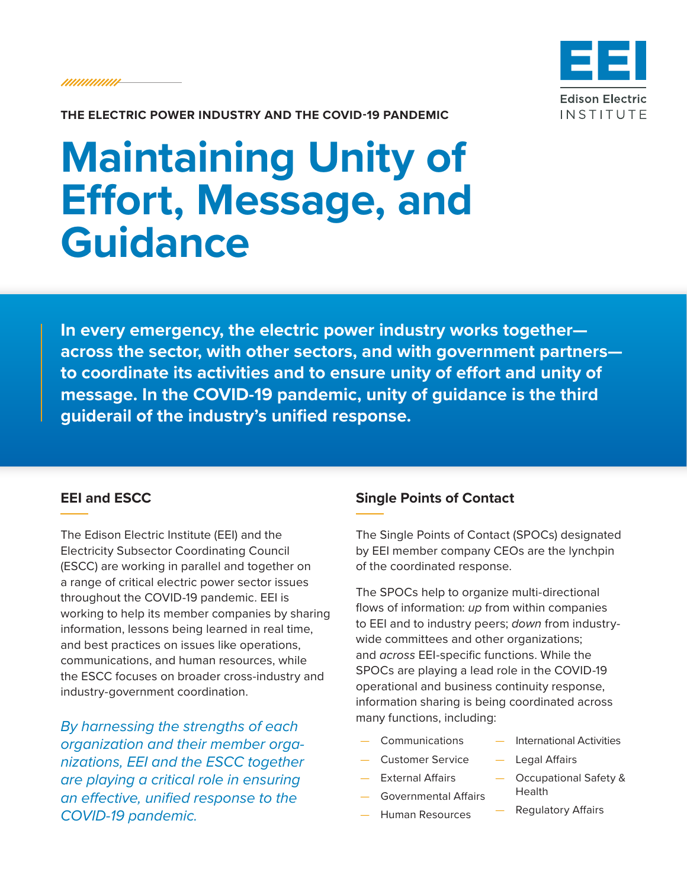*IIIIIIIIIIIIII* 



**THE ELECTRIC POWER INDUSTRY AND THE COVID-19 PANDEMIC**

## **Maintaining Unity of Effort, Message, and Guidance**

**In every emergency, the electric power industry works together across the sector, with other sectors, and with government partners to coordinate its activities and to ensure unity of effort and unity of message. In the COVID-19 pandemic, unity of guidance is the third guiderail of the industry's unified response.**

## **EEI and ESCC**

The Edison Electric Institute (EEI) and the Electricity Subsector Coordinating Council (ESCC) are working in parallel and together on a range of critical electric power sector issues throughout the COVID-19 pandemic. EEI is working to help its member companies by sharing information, lessons being learned in real time, and best practices on issues like operations, communications, and human resources, while the ESCC focuses on broader cross-industry and industry-government coordination.

*By harnessing the strengths of each organization and their member organizations, EEI and the ESCC together are playing a critical role in ensuring an effective, unified response to the COVID-19 pandemic.*

## **Single Points of Contact**

The Single Points of Contact (SPOCs) designated by EEI member company CEOs are the lynchpin of the coordinated response.

The SPOCs help to organize multi-directional flows of information: *up* from within companies to EEI and to industry peers; *down* from industrywide committees and other organizations; and *across* EEI-specific functions. While the SPOCs are playing a lead role in the COVID-19 operational and business continuity response, information sharing is being coordinated across many functions, including:

- **Communications**
- Customer Service
- External Affairs
- Governmental Affairs
- Human Resources
- International Activities
- Legal Affairs
- Occupational Safety & Health
	- Regulatory Affairs